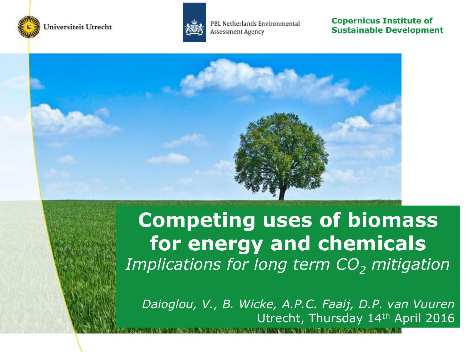



**Copernicus Institute of Sustainable Development**



## **Competing uses of biomass for energy and chemicals**  *Implications for long term CO<sup>2</sup> mitigation*

*Daioglou, V., B. Wicke, A.P.C. Faaij, D.P. van Vuuren* Utrecht, Thursday 14th April 2016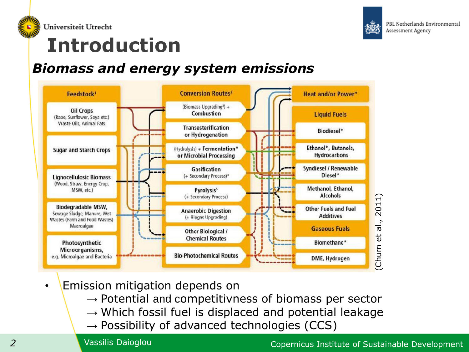

Universiteit Utrecht



PBL Netherlands Environmental Assessment Agency

## **Introduction**

### *Biomass and energy system emissions*



- Emission mitigation depends on
	- $\rightarrow$  Potential and competitivness of biomass per sector
	- $\rightarrow$  Which fossil fuel is displaced and potential leakage
	- $\rightarrow$  Possibility of advanced technologies (CCS)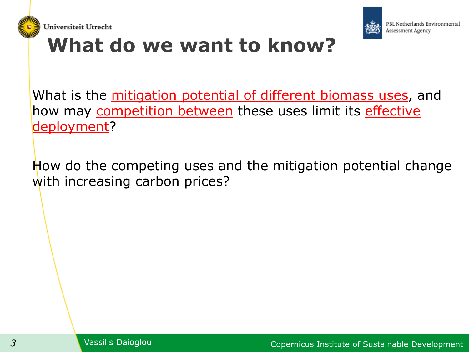



## **What do we want to know?**

What is the mitigation potential of different biomass uses, and how may competition between these uses limit its effective deployment?

How do the competing uses and the mitigation potential change with increasing carbon prices?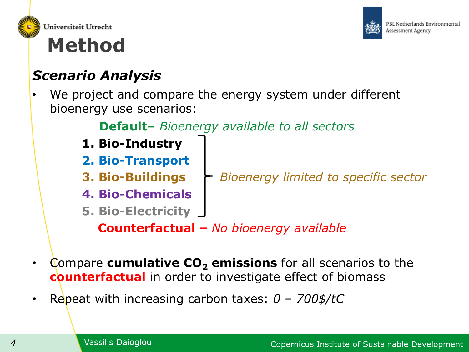



## **Method**

## *Scenario Analysis*

We project and compare the energy system under different bioenergy use scenarios:

### **Default–** *Bioenergy available to all sectors*

- **1. Bio-Industry**
- **2. Bio-Transport**
- **3. Bio-Buildings** *Bioenergy limited to specific sector*
- **4. Bio-Chemicals**
- **5. Bio-Electricity**

 **Counterfactual –** *No bioenergy available*

- Compare **cumulative CO<sup>2</sup> emissions** for all scenarios to the **counterfactual** in order to investigate effect of biomass
- Repeat with increasing carbon taxes: *0 – 700\$/tC*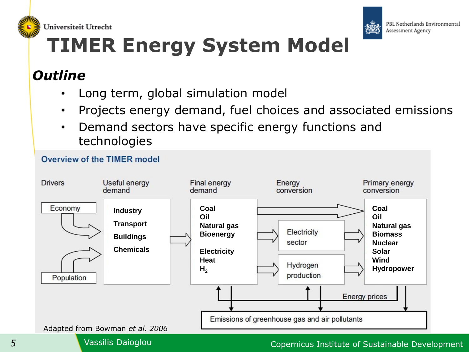



# **TIMER Energy System Model**

### *Outline*

- Long term, global simulation model
- Projects energy demand, fuel choices and associated emissions
- Demand sectors have specific energy functions and technologies



#### *5* Vassilis Daioglou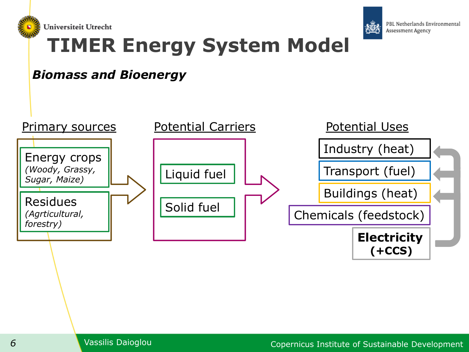



## **TIMER Energy System Model**

### *Biomass and Bioenergy*

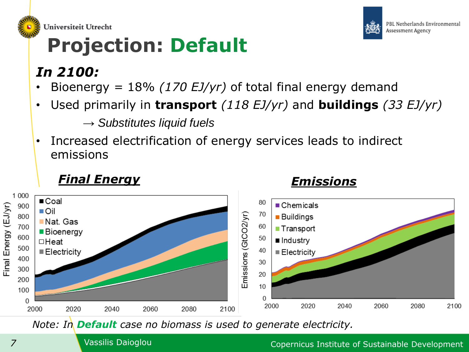

Universiteit Utrecht

## **Projection: Default**

### *In 2100:*

- Bioenergy = 18% *(170 EJ/yr)* of total final energy demand
- Used primarily in **transport** *(118 EJ/yr)* and **buildings** *(33 EJ/yr)*

→ *Substitutes liquid fuels*

• Increased electrification of energy services leads to indirect emissions

### *Final Energy Emissions*



*Note: In Default case no biomass is used to generate electricity.*

PBL Netherlands Environmental

Assessment Agency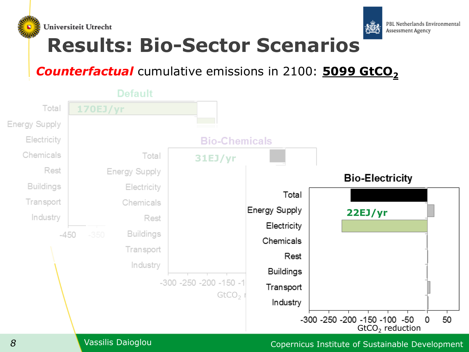



## **Results: Bio-Sector Scenarios**

### *Counterfactual* cumulative emissions in 2100: **5099 GtCO<sup>2</sup>**

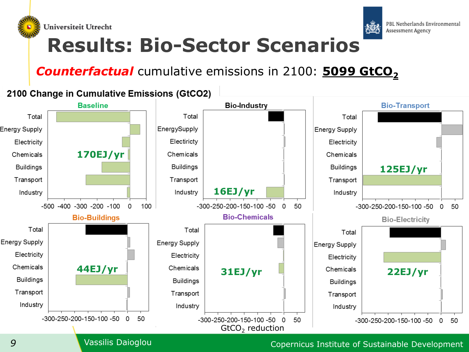



## **Results: Bio-Sector Scenarios**

### **Counterfactual** cumulative emissions in 2100: **5099 GtCO**<sub>2</sub>

#### 2100 Change in Cumulative Emissions (GtCO2)

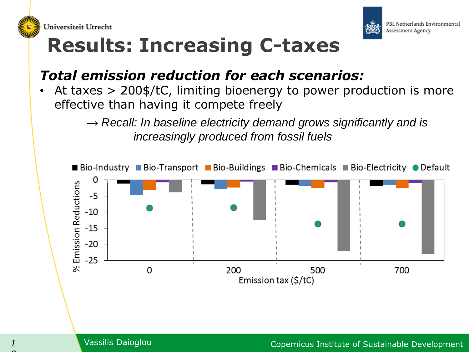



## **Results: Increasing C-taxes**

### *Total emission reduction for each scenarios:*

• At taxes > 200\$/tC, limiting bioenergy to power production is more effective than having it compete freely

> → *Recall: In baseline electricity demand grows significantly and is increasingly produced from fossil fuels*

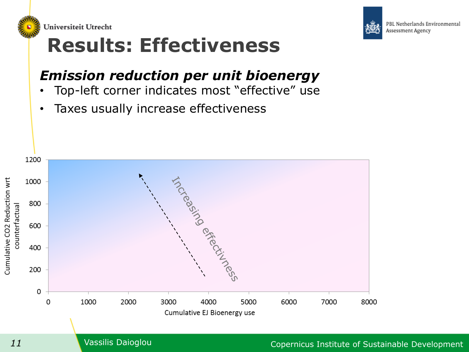



## **Results: Effectiveness**

## *Emission reduction per unit bioenergy*

- Top-left corner indicates most "effective" use
- Taxes usually increase effectiveness

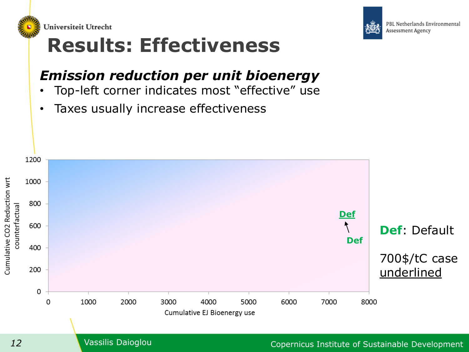



## *Emission reduction per unit bioenergy*

- Top-left corner indicates most "effective" use
- Taxes usually increase effectiveness





PBL Netherlands Environmental Assessment Agency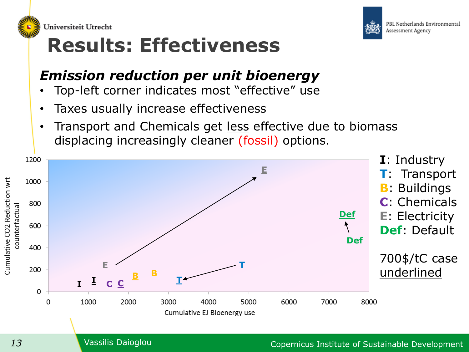



## **Results: Effectiveness**

## *Emission reduction per unit bioenergy*

- Top-left corner indicates most "effective" use
- Taxes usually increase effectiveness
- Transport and Chemicals get less effective due to biomass displacing increasingly cleaner (fossil) options.

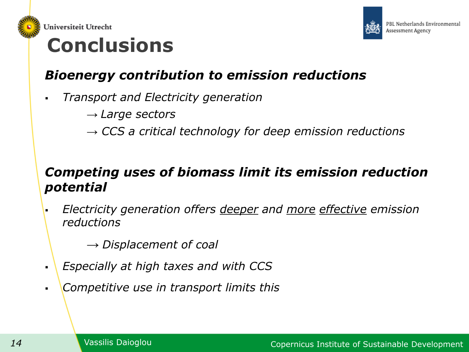



## **Conclusions**

### *Bioenergy contribution to emission reductions*

- *Transport and Electricity generation*
	- *→ Large sectors*
	- *→ CCS a critical technology for deep emission reductions*

### *Competing uses of biomass limit its emission reduction potential*

 *Electricity generation offers deeper and more effective emission reductions*

*→ Displacement of coal*

- *Especially at high taxes and with CCS*
- *Competitive use in transport limits this*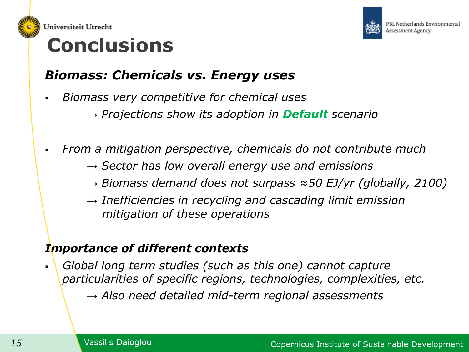



## **Conclusions**

### *Biomass: Chemicals vs. Energy uses*

- *Biomass very competitive for chemical uses*
	- *→ Projections show its adoption in Default scenario*
- *From a mitigation perspective, chemicals do not contribute much*
	- *→ Sector has low overall energy use and emissions*
	- *→ Biomass demand does not surpass ≈50 EJ/yr (globally, 2100)*
	- *→ Inefficiencies in recycling and cascading limit emission mitigation of these operations*

### *Importance of different contexts*

 *Global long term studies (such as this one) cannot capture particularities of specific regions, technologies, complexities, etc. → Also need detailed mid-term regional assessments*